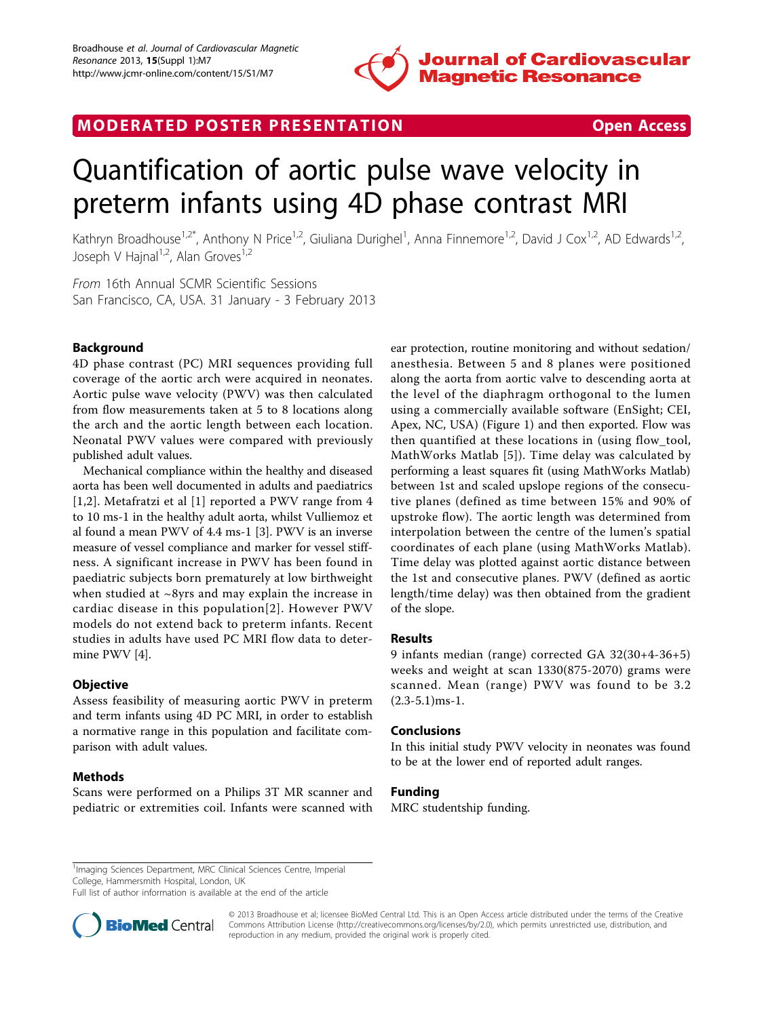

# MODERATED POSTER PRESENTATION Open Access

# Quantification of aortic pulse wave velocity in preterm infants using 4D phase contrast MRI

Kathryn Broadhouse<sup>1,2\*</sup>, Anthony N Price<sup>1,2</sup>, Giuliana Durighel<sup>1</sup>, Anna Finnemore<sup>1,2</sup>, David J Cox<sup>1,2</sup>, AD Edwards<sup>1,2</sup>, Joseph V Hainal<sup>1,2</sup>, Alan Groves<sup>1,2</sup>

From 16th Annual SCMR Scientific Sessions San Francisco, CA, USA. 31 January - 3 February 2013

## Background

4D phase contrast (PC) MRI sequences providing full coverage of the aortic arch were acquired in neonates. Aortic pulse wave velocity (PWV) was then calculated from flow measurements taken at 5 to 8 locations along the arch and the aortic length between each location. Neonatal PWV values were compared with previously published adult values.

Mechanical compliance within the healthy and diseased aorta has been well documented in adults and paediatrics [[1,2\]](#page-2-0). Metafratzi et al [\[1](#page-2-0)] reported a PWV range from 4 to 10 ms-1 in the healthy adult aorta, whilst Vulliemoz et al found a mean PWV of 4.4 ms-1 [\[3](#page-2-0)]. PWV is an inverse measure of vessel compliance and marker for vessel stiffness. A significant increase in PWV has been found in paediatric subjects born prematurely at low birthweight when studied at  $\sim$ 8yrs and may explain the increase in cardiac disease in this population[[2\]](#page-2-0). However PWV models do not extend back to preterm infants. Recent studies in adults have used PC MRI flow data to determine PWV [[4\]](#page-2-0).

#### **Objective**

Assess feasibility of measuring aortic PWV in preterm and term infants using 4D PC MRI, in order to establish a normative range in this population and facilitate comparison with adult values.

#### Methods

Scans were performed on a Philips 3T MR scanner and pediatric or extremities coil. Infants were scanned with ear protection, routine monitoring and without sedation/ anesthesia. Between 5 and 8 planes were positioned along the aorta from aortic valve to descending aorta at the level of the diaphragm orthogonal to the lumen using a commercially available software (EnSight; CEI, Apex, NC, USA) (Figure [1](#page-1-0)) and then exported. Flow was then quantified at these locations in (using flow\_tool, MathWorks Matlab [[5\]](#page-2-0)). Time delay was calculated by performing a least squares fit (using MathWorks Matlab) between 1st and scaled upslope regions of the consecutive planes (defined as time between 15% and 90% of upstroke flow). The aortic length was determined from interpolation between the centre of the lumen's spatial coordinates of each plane (using MathWorks Matlab). Time delay was plotted against aortic distance between the 1st and consecutive planes. PWV (defined as aortic length/time delay) was then obtained from the gradient of the slope.

### Results

9 infants median (range) corrected GA 32(30+4-36+5) weeks and weight at scan 1330(875-2070) grams were scanned. Mean (range) PWV was found to be 3.2  $(2.3-5.1)$ ms-1.

#### Conclusions

In this initial study PWV velocity in neonates was found to be at the lower end of reported adult ranges.

#### Funding

MRC studentship funding.

<sup>1</sup>Imaging Sciences Department, MRC Clinical Sciences Centre, Imperial College, Hammersmith Hospital, London, UK

Full list of author information is available at the end of the article



© 2013 Broadhouse et al; licensee BioMed Central Ltd. This is an Open Access article distributed under the terms of the Creative Commons Attribution License [\(http://creativecommons.org/licenses/by/2.0](http://creativecommons.org/licenses/by/2.0)), which permits unrestricted use, distribution, and reproduction in any medium, provided the original work is properly cited.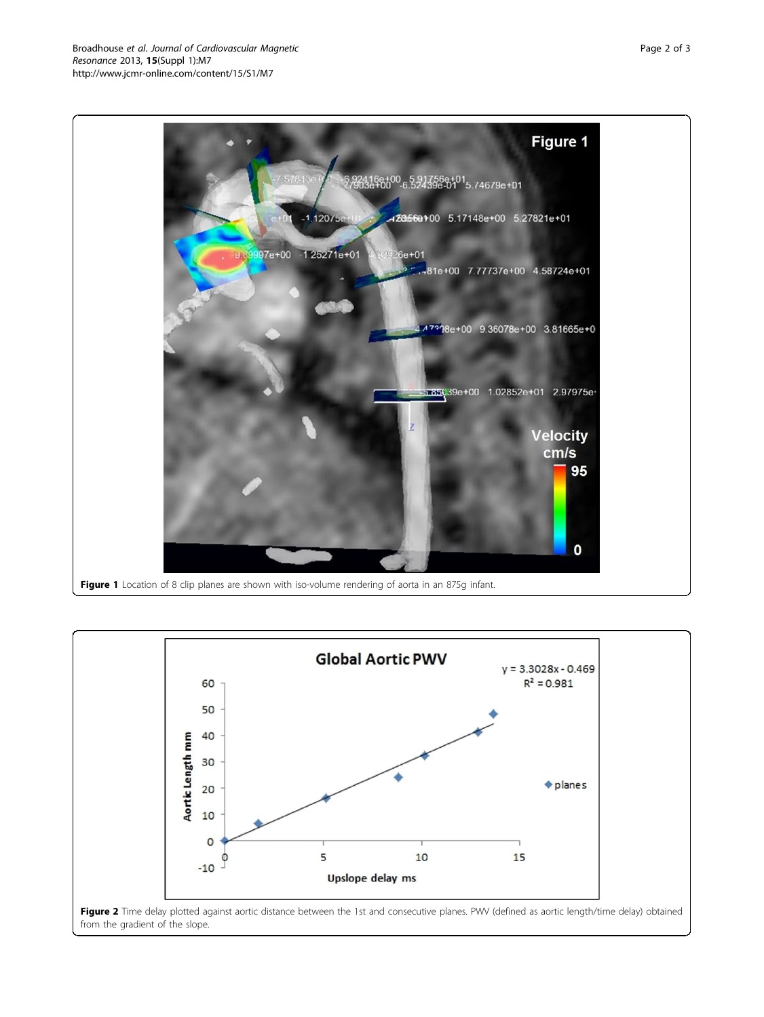<span id="page-1-0"></span>